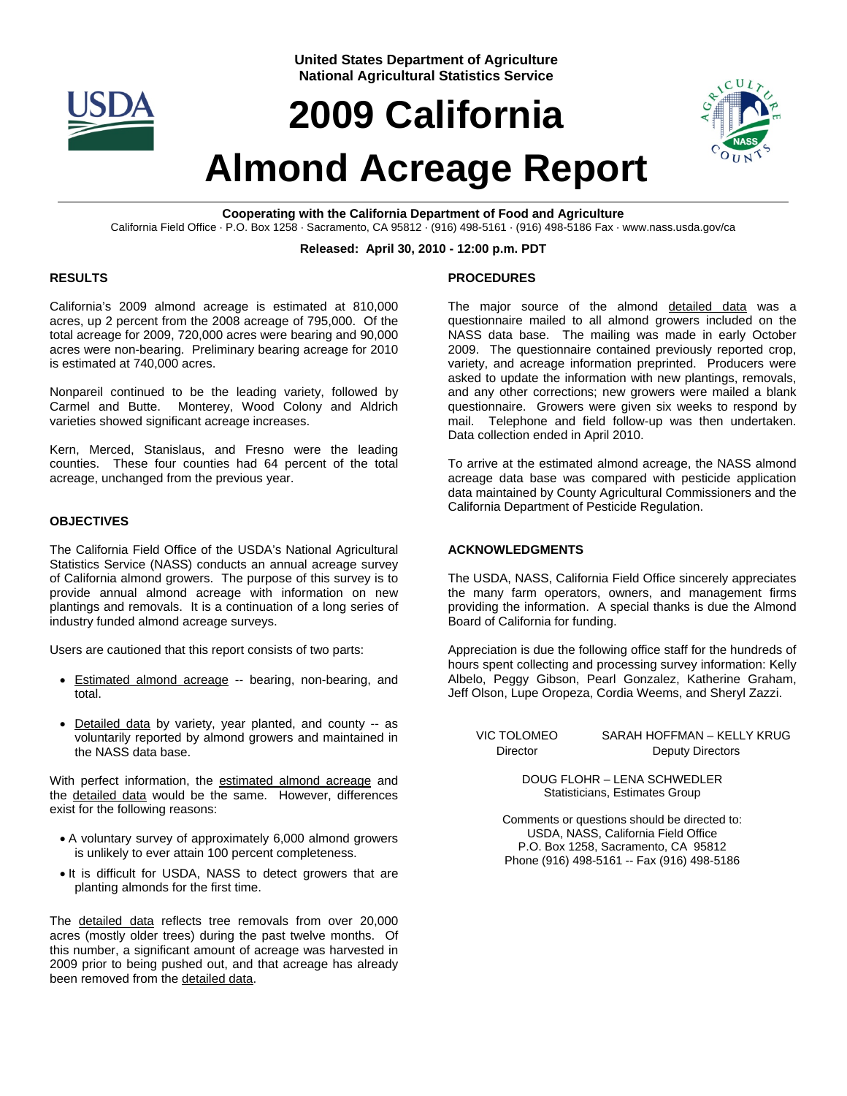

**United States Department of Agriculture National Agricultural Statistics Service**

# **2009 California**



# **Almond Acreage Report**

**Cooperating with the California Department of Food and Agriculture**  California Field Office · P.O. Box 1258 · Sacramento, CA 95812 · (916) 498-5161 · (916) 498-5186 Fax · www.nass.usda.gov/ca

#### **Released: April 30, 2010 - 12:00 p.m. PDT**

## **RESULTS**

California's 2009 almond acreage is estimated at 810,000 acres, up 2 percent from the 2008 acreage of 795,000. Of the total acreage for 2009, 720,000 acres were bearing and 90,000 acres were non-bearing. Preliminary bearing acreage for 2010 is estimated at 740,000 acres.

Nonpareil continued to be the leading variety, followed by Carmel and Butte. Monterey, Wood Colony and Aldrich varieties showed significant acreage increases.

Kern, Merced, Stanislaus, and Fresno were the leading counties. These four counties had 64 percent of the total acreage, unchanged from the previous year.

## **OBJECTIVES**

The California Field Office of the USDA's National Agricultural Statistics Service (NASS) conducts an annual acreage survey of California almond growers. The purpose of this survey is to provide annual almond acreage with information on new plantings and removals. It is a continuation of a long series of industry funded almond acreage surveys.

Users are cautioned that this report consists of two parts:

- Estimated almond acreage -- bearing, non-bearing, and total.
- Detailed data by variety, year planted, and county -- as voluntarily reported by almond growers and maintained in the NASS data base.

With perfect information, the estimated almond acreage and the detailed data would be the same. However, differences exist for the following reasons:

- A voluntary survey of approximately 6,000 almond growers is unlikely to ever attain 100 percent completeness.
- It is difficult for USDA, NASS to detect growers that are planting almonds for the first time.

The detailed data reflects tree removals from over 20,000 acres (mostly older trees) during the past twelve months. Of this number, a significant amount of acreage was harvested in 2009 prior to being pushed out, and that acreage has already been removed from the detailed data.

# **PROCEDURES**

The major source of the almond detailed data was a questionnaire mailed to all almond growers included on the NASS data base. The mailing was made in early October 2009. The questionnaire contained previously reported crop, variety, and acreage information preprinted. Producers were asked to update the information with new plantings, removals, and any other corrections; new growers were mailed a blank questionnaire. Growers were given six weeks to respond by mail. Telephone and field follow-up was then undertaken. Data collection ended in April 2010.

To arrive at the estimated almond acreage, the NASS almond acreage data base was compared with pesticide application data maintained by County Agricultural Commissioners and the California Department of Pesticide Regulation.

#### **ACKNOWLEDGMENTS**

The USDA, NASS, California Field Office sincerely appreciates the many farm operators, owners, and management firms providing the information. A special thanks is due the Almond Board of California for funding.

Appreciation is due the following office staff for the hundreds of hours spent collecting and processing survey information: Kelly Albelo, Peggy Gibson, Pearl Gonzalez, Katherine Graham, Jeff Olson, Lupe Oropeza, Cordia Weems, and Sheryl Zazzi.

VIC TOLOMEO SARAH HOFFMAN – KELLY KRUG Director Deputy Directors

> DOUG FLOHR – LENA SCHWEDLER Statisticians, Estimates Group

Comments or questions should be directed to: USDA, NASS, California Field Office P.O. Box 1258, Sacramento, CA 95812 Phone (916) 498-5161 -- Fax (916) 498-5186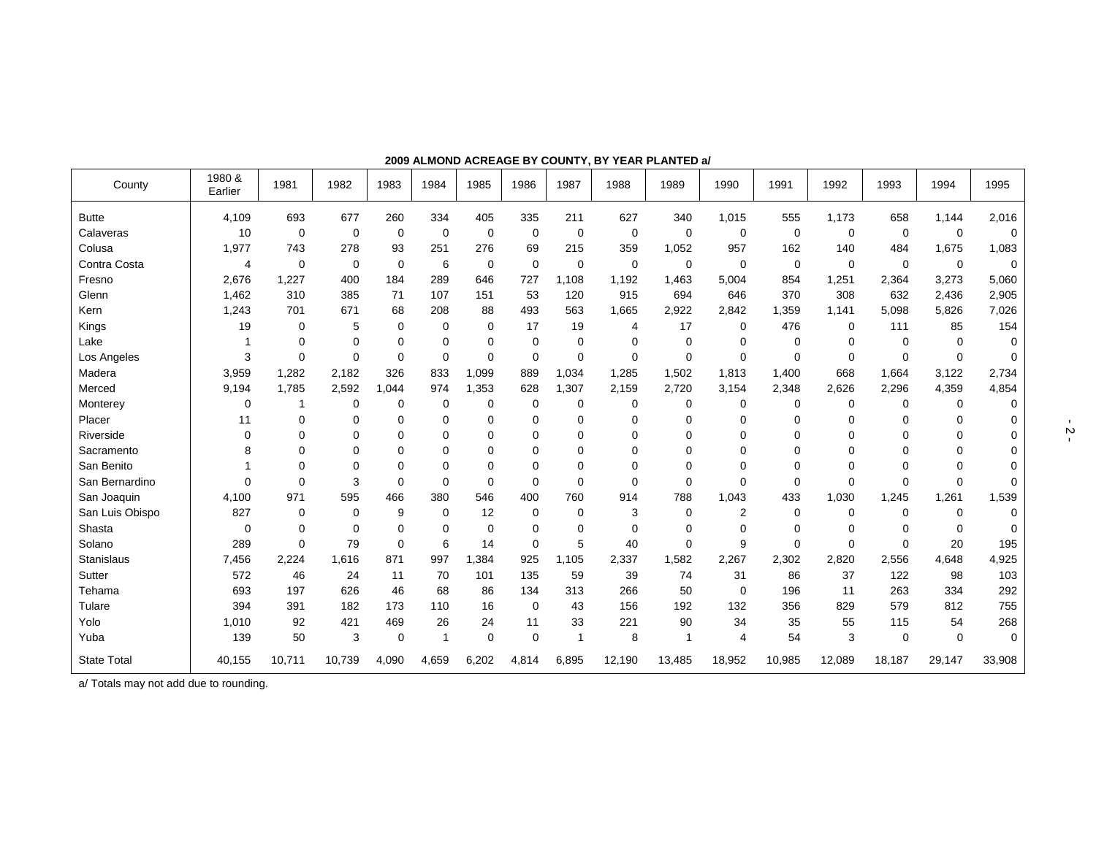| County             | 1980 &<br>Earlier | 1981     | 1982        | 1983        | 1984        | 1985        | 1986        | 1987        | 1988        | 1989        | 1990        | 1991        | 1992     | 1993        | 1994        | 1995        |
|--------------------|-------------------|----------|-------------|-------------|-------------|-------------|-------------|-------------|-------------|-------------|-------------|-------------|----------|-------------|-------------|-------------|
| <b>Butte</b>       | 4,109             | 693      | 677         | 260         | 334         | 405         | 335         | 211         | 627         | 340         | 1,015       | 555         | 1,173    | 658         | 1,144       | 2,016       |
| Calaveras          | 10                | 0        | $\mathbf 0$ | $\mathbf 0$ | 0           | $\mathbf 0$ | $\mathbf 0$ | $\mathbf 0$ | $\mathbf 0$ | 0           | 0           | 0           | 0        | $\mathbf 0$ | 0           | 0           |
| Colusa             | 1,977             | 743      | 278         | 93          | 251         | 276         | 69          | 215         | 359         | 1,052       | 957         | 162         | 140      | 484         | 1,675       | 1,083       |
| Contra Costa       | 4                 | 0        | $\mathbf 0$ | $\Omega$    | 6           | $\mathbf 0$ | $\mathbf 0$ | $\mathbf 0$ | $\mathbf 0$ | 0           | 0           | $\mathbf 0$ | $\Omega$ | $\mathbf 0$ | $\mathbf 0$ | $\mathbf 0$ |
| Fresno             | 2,676             | 1.227    | 400         | 184         | 289         | 646         | 727         | 1,108       | 1.192       | 1.463       | 5,004       | 854         | 1,251    | 2,364       | 3,273       | 5,060       |
| Glenn              | 1,462             | 310      | 385         | 71          | 107         | 151         | 53          | 120         | 915         | 694         | 646         | 370         | 308      | 632         | 2,436       | 2,905       |
| Kern               | 1,243             | 701      | 671         | 68          | 208         | 88          | 493         | 563         | 1,665       | 2,922       | 2,842       | 1,359       | 1,141    | 5,098       | 5,826       | 7,026       |
| Kings              | 19                | 0        | 5           | $\Omega$    | 0           | 0           | 17          | 19          | 4           | 17          | 0           | 476         | $\Omega$ | 111         | 85          | 154         |
| Lake               | 1                 | $\Omega$ | $\mathbf 0$ | $\Omega$    | $\Omega$    | $\Omega$    | $\mathbf 0$ | $\mathbf 0$ | $\mathbf 0$ | 0           | $\Omega$    | 0           | $\Omega$ | $\Omega$    | $\Omega$    | $\Omega$    |
| Los Angeles        | 3                 | 0        | $\mathbf 0$ | $\Omega$    | $\Omega$    | $\mathbf 0$ | $\mathbf 0$ | 0           | $\mathbf 0$ | $\mathbf 0$ | $\mathbf 0$ | 0           | 0        | $\mathbf 0$ | 0           | 0           |
| Madera             | 3,959             | 1,282    | 2,182       | 326         | 833         | 1,099       | 889         | 1,034       | 1,285       | 1,502       | 1,813       | 1,400       | 668      | 1,664       | 3,122       | 2,734       |
| Merced             | 9,194             | 1,785    | 2,592       | 1.044       | 974         | 1,353       | 628         | ,307<br>1   | 2,159       | 2,720       | 3,154       | 2,348       | 2,626    | 2,296       | 4,359       | 4,854       |
| Monterey           | 0                 | 1        | 0           | 0           | 0           | 0           | $\mathbf 0$ | 0           | 0           | 0           | 0           | 0           | 0        | 0           | 0           | $\Omega$    |
| Placer             | 11                | $\Omega$ | $\Omega$    | $\Omega$    | $\Omega$    | $\Omega$    | $\mathbf 0$ | 0           | $\mathbf 0$ | $\Omega$    | $\Omega$    | 0           | $\Omega$ | 0           | $\Omega$    | 0           |
| Riverside          | 0                 | $\Omega$ | 0           | $\Omega$    | $\Omega$    | $\mathbf 0$ | 0           | 0           | 0           | 0           | 0           | 0           | $\Omega$ | 0           | 0           | 0           |
| Sacramento         | 8                 | $\Omega$ | 0           | $\Omega$    | $\Omega$    | $\Omega$    | $\mathbf 0$ | 0           | 0           | 0           | 0           | 0           | $\Omega$ | $\Omega$    | 0           | 0           |
| San Benito         |                   | $\Omega$ | $\Omega$    | $\Omega$    | $\Omega$    | $\Omega$    | $\mathbf 0$ | 0           | $\mathbf 0$ | 0           | 0           | 0           | $\Omega$ | 0           | $\Omega$    | 0           |
| San Bernardino     | $\Omega$          | 0        | 3           | $\Omega$    | $\Omega$    | $\mathbf 0$ | $\mathbf 0$ | $\mathbf 0$ | $\mathbf 0$ | $\mathbf 0$ | $\Omega$    | 0           | $\Omega$ | $\Omega$    | $\Omega$    | 0           |
| San Joaquin        | 4,100             | 971      | 595         | 466         | 380         | 546         | 400         | 760         | 914         | 788         | 1,043       | 433         | 1,030    | 1,245       | 1,261       | 1,539       |
| San Luis Obispo    | 827               | 0        | $\mathbf 0$ | 9           | $\mathbf 0$ | 12          | 0           | 0           | 3           | $\mathbf 0$ | 2           | 0           | 0        | $\Omega$    | $\Omega$    | $\Omega$    |
| Shasta             | $\mathbf 0$       | 0        | 0           | 0           | $\Omega$    | 0           | 0           | 0           | 0           | 0           | 0           | $\Omega$    | $\Omega$ | $\Omega$    | $\Omega$    | 0           |
| Solano             | 289               | 0        | 79          | $\Omega$    | 6           | 14          | 0           | 5           | 40          | 0           | 9           | 0           | 0        | 0           | 20          | 195         |
| <b>Stanislaus</b>  | 7,456             | 2,224    | 1,616       | 871         | 997         | 1,384       | 925         | 1,105       | 2,337       | 1,582       | 2,267       | 2,302       | 2,820    | 2,556       | 4,648       | 4,925       |
| Sutter             | 572               | 46       | 24          | 11          | 70          | 101         | 135         | 59          | 39          | 74          | 31          | 86          | 37       | 122         | 98          | 103         |
| Tehama             | 693               | 197      | 626         | 46          | 68          | 86          | 134         | 313         | 266         | 50          | $\mathbf 0$ | 196         | 11       | 263         | 334         | 292         |
| Tulare             | 394               | 391      | 182         | 173         | 110         | 16          | $\mathbf 0$ | 43          | 156         | 192         | 132         | 356         | 829      | 579         | 812         | 755         |
| Yolo               | 1,010             | 92       | 421         | 469         | 26          | 24          | 11          | 33          | 221         | 90          | 34          | 35          | 55       | 115         | 54          | 268         |
| Yuba               | 139               | 50       | 3           | $\mathbf 0$ | -1          | $\mathbf 0$ | $\mathbf 0$ |             | 8           | $\mathbf 1$ | 4           | 54          | 3        | $\mathbf 0$ | 0           | $\mathbf 0$ |
| <b>State Total</b> | 40,155            | 10,711   | 10,739      | 4,090       | 4,659       | 6,202       | 4,814       | 6,895       | 12,190      | 13,485      | 18,952      | 10,985      | 12,089   | 18,187      | 29,147      | 33,908      |

**2009 ALMOND ACREAGE BY COUNTY, BY YEAR PLANTED a/** 

a/ Totals may not add due to rounding.

 $\frac{1}{2}$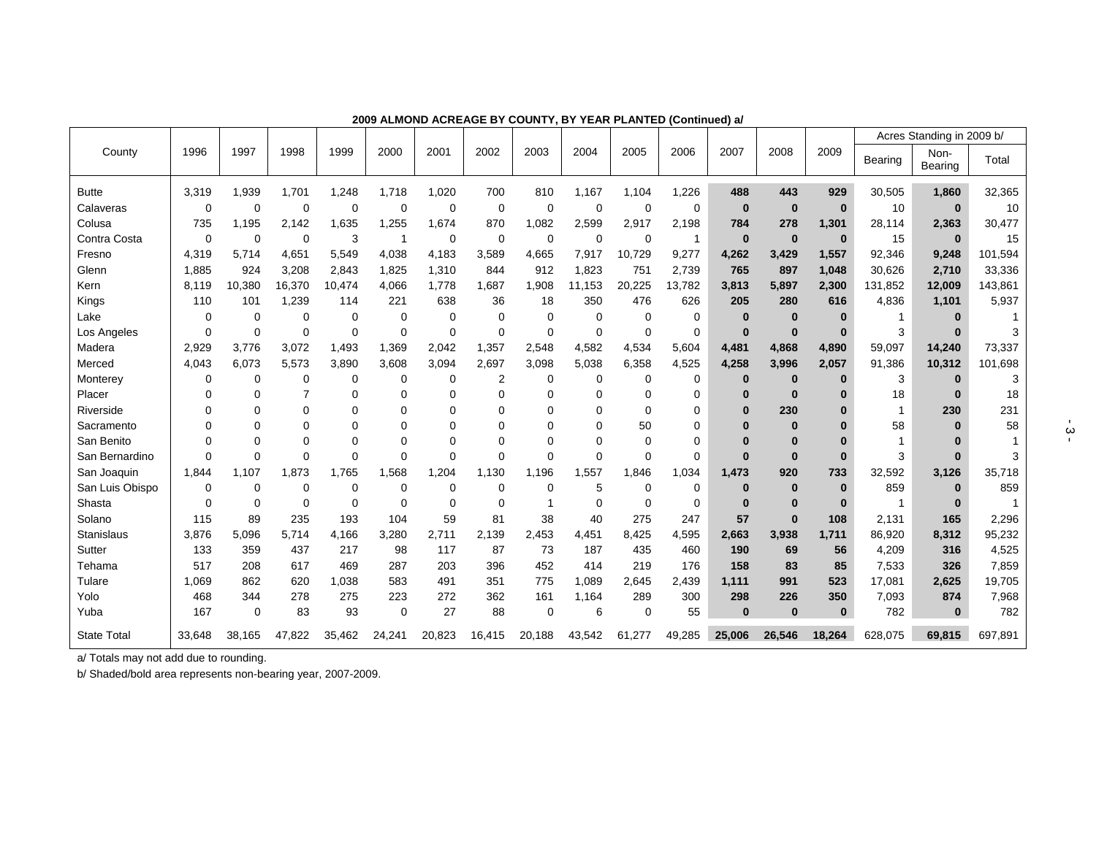|                    |             |             |             |             |           |          |                |          |             |          |              |              |          |          |         | Acres Standing in 2009 b/ |         |
|--------------------|-------------|-------------|-------------|-------------|-----------|----------|----------------|----------|-------------|----------|--------------|--------------|----------|----------|---------|---------------------------|---------|
| County             | 1996        | 1997        | 1998        | 1999        | 2000      | 2001     | 2002           | 2003     | 2004        | 2005     | 2006         | 2007         | 2008     | 2009     | Bearing | Non-<br>Bearing           | Total   |
| <b>Butte</b>       | 3,319       | 1,939       | 1,701       | 1,248       | 1,718     | 1,020    | 700            | 810      | 1,167       | 1,104    | 1,226        | 488          | 443      | 929      | 30,505  | 1,860                     | 32,365  |
| Calaveras          | $\Omega$    | 0           | $\mathbf 0$ | $\Omega$    | $\Omega$  | 0        | $\mathbf 0$    | 0        | $\mathbf 0$ | 0        | $\Omega$     | $\bf{0}$     | $\bf{0}$ | $\bf{0}$ | 10      | $\bf{0}$                  | 10      |
| Colusa             | 735         | 1,195       | 2,142       | 1,635       | 1,255     | 1,674    | 870            | 1,082    | 2,599       | 2,917    | 2,198        | 784          | 278      | 1,301    | 28,114  | 2,363                     | 30,477  |
| Contra Costa       | $\mathbf 0$ | $\mathbf 0$ | $\mathbf 0$ | 3           |           | 0        | 0              | 0        | $\mathbf 0$ | 0        | $\mathbf{1}$ | $\bf{0}$     | $\bf{0}$ | $\bf{0}$ | 15      | $\bf{0}$                  | 15      |
| Fresno             | 4,319       | 5,714       | 4,651       | 5,549       | 4,038     | 4,183    | 3,589          | 4,665    | 7,917       | 10,729   | 9,277        | 4,262        | 3,429    | 1,557    | 92,346  | 9,248                     | 101,594 |
| Glenn              | 1,885       | 924         | 3,208       | 2,843       | 1,825     | 1,310    | 844            | 912      | 1,823       | 751      | 2,739        | 765          | 897      | 1,048    | 30,626  | 2,710                     | 33,336  |
| Kern               | 8.119       | 10,380      | 16,370      | 10,474      | 4,066     | 1,778    | 1,687          | 1,908    | 11,153      | 20,225   | 13,782       | 3,813        | 5,897    | 2,300    | 131,852 | 12,009                    | 143,861 |
| Kings              | 110         | 101         | 1,239       | 114         | 221       | 638      | 36             | 18       | 350         | 476      | 626          | 205          | 280      | 616      | 4,836   | 1,101                     | 5,937   |
| Lake               | $\mathbf 0$ | 0           | $\mathbf 0$ | $\Omega$    | 0         | 0        | 0              | $\Omega$ | 0           | 0        | $\mathbf 0$  | $\bf{0}$     | 0        | $\bf{0}$ |         | $\bf{0}$                  |         |
| Los Angeles        | $\Omega$    | 0           | 0           | $\Omega$    | $\Omega$  | $\Omega$ | $\Omega$       | $\Omega$ | $\mathbf 0$ | $\Omega$ | $\Omega$     | $\bf{0}$     | $\bf{0}$ | $\bf{0}$ | 3       | $\bf{0}$                  |         |
| Madera             | 2,929       | 3,776       | 3.072       | 1.493       | 1,369     | 2,042    | 1,357          | 2,548    | 4,582       | 4,534    | 5,604        | 4,481        | 4,868    | 4,890    | 59,097  | 14,240                    | 73,337  |
| Merced             | 4,043       | 6,073       | 5,573       | 3,890       | 3,608     | 3,094    | 2,697          | 3,098    | 5,038       | 6,358    | 4,525        | 4,258        | 3,996    | 2,057    | 91,386  | 10,312                    | 101,698 |
| Monterey           | $\mathbf 0$ | 0           | $\Omega$    | $\Omega$    | $\Omega$  | $\Omega$ | $\overline{2}$ | $\Omega$ | $\mathbf 0$ | 0        | $\mathbf 0$  | $\bf{0}$     | $\bf{0}$ | $\bf{0}$ | 3       | $\bf{0}$                  |         |
| Placer             | $\Omega$    | 0           |             | $\Omega$    | 0         | 0        | $\Omega$       |          | $\Omega$    | 0        | 0            | $\bf{0}$     | $\bf{0}$ | $\bf{0}$ | 18      | $\bf{0}$                  | 18      |
| Riverside          | $\Omega$    | 0           | U           | $\Omega$    | 0         | U        | O              |          | $\Omega$    | 0        | 0            | $\bf{0}$     | 230      | $\bf{0}$ | 1       | 230                       | 231     |
| Sacramento         | $\Omega$    | 0           | 0           | $\Omega$    | $\Omega$  | O        | $\Omega$       | O        | $\Omega$    | 50       | 0            | $\Omega$     | $\bf{0}$ | $\Omega$ | 58      |                           | 58      |
| San Benito         | $\Omega$    | $\Omega$    | $\Omega$    | $\Omega$    | $\Omega$  | $\Omega$ | $\Omega$       |          | $\Omega$    | 0        | $\Omega$     | $\mathbf{0}$ | 0        | $\bf{0}$ |         |                           |         |
| San Bernardino     | $\Omega$    | 0           | $\mathbf 0$ | $\Omega$    | $\Omega$  | $\Omega$ | 0              | $\Omega$ | $\Omega$    | 0        | 0            | $\mathbf{0}$ | $\bf{0}$ | $\bf{0}$ | 3       | $\Omega$                  |         |
| San Joaquin        | 1,844       | 1,107       | 1.873       | 1.765       | .568<br>1 | 1,204    | 1,130          | 1.196    | 1,557       | 1,846    | 1,034        | 1,473        | 920      | 733      | 32,592  | 3,126                     | 35,718  |
| San Luis Obispo    | $\mathbf 0$ | 0           | $\mathbf 0$ | $\mathbf 0$ | $\Omega$  | $\Omega$ | $\Omega$       | 0        | 5           | $\Omega$ | $\mathbf 0$  | $\bf{0}$     | $\bf{0}$ | $\bf{0}$ | 859     | $\bf{0}$                  | 859     |
| Shasta             | $\Omega$    | 0           | $\Omega$    | $\Omega$    | $\Omega$  | $\Omega$ | $\Omega$       |          | $\Omega$    | $\Omega$ | $\Omega$     | $\mathbf{0}$ | $\bf{0}$ | $\bf{0}$ | 1       | $\bf{0}$                  |         |
| Solano             | 115         | 89          | 235         | 193         | 104       | 59       | 81             | 38       | 40          | 275      | 247          | 57           | $\bf{0}$ | 108      | 2,131   | 165                       | 2,296   |
| <b>Stanislaus</b>  | 3,876       | 5,096       | 5,714       | 4,166       | 3,280     | 2,711    | 2,139          | 2,453    | 4,451       | 8,425    | 4,595        | 2,663        | 3,938    | 1,711    | 86,920  | 8,312                     | 95,232  |
| Sutter             | 133         | 359         | 437         | 217         | 98        | 117      | 87             | 73       | 187         | 435      | 460          | 190          | 69       | 56       | 4,209   | 316                       | 4,525   |
| Tehama             | 517         | 208         | 617         | 469         | 287       | 203      | 396            | 452      | 414         | 219      | 176          | 158          | 83       | 85       | 7,533   | 326                       | 7,859   |
| Tulare             | 1,069       | 862         | 620         | 1,038       | 583       | 491      | 351            | 775      | 1,089       | 2,645    | 2,439        | 1,111        | 991      | 523      | 17,081  | 2,625                     | 19,705  |
| Yolo               | 468         | 344         | 278         | 275         | 223       | 272      | 362            | 161      | 1,164       | 289      | 300          | 298          | 226      | 350      | 7,093   | 874                       | 7,968   |
| Yuba               | 167         | $\mathbf 0$ | 83          | 93          | $\Omega$  | 27       | 88             | $\Omega$ | 6           | $\Omega$ | 55           | $\bf{0}$     | $\bf{0}$ | $\bf{0}$ | 782     | $\bf{0}$                  | 782     |
| <b>State Total</b> | 33,648      | 38,165      | 47,822      | 35,462      | 24,241    | 20,823   | 16,415         | 20,188   | 43,542      | 61,277   | 49,285       | 25,006       | 26,546   | 18,264   | 628,075 | 69,815                    | 697,891 |

**2009 ALMOND ACREAGE BY COUNTY, BY YEAR PLANTED (Continued) a/** 

a/ Totals may not add due to rounding.

b/ Shaded/bold area represents non-bearing year, 2007-2009.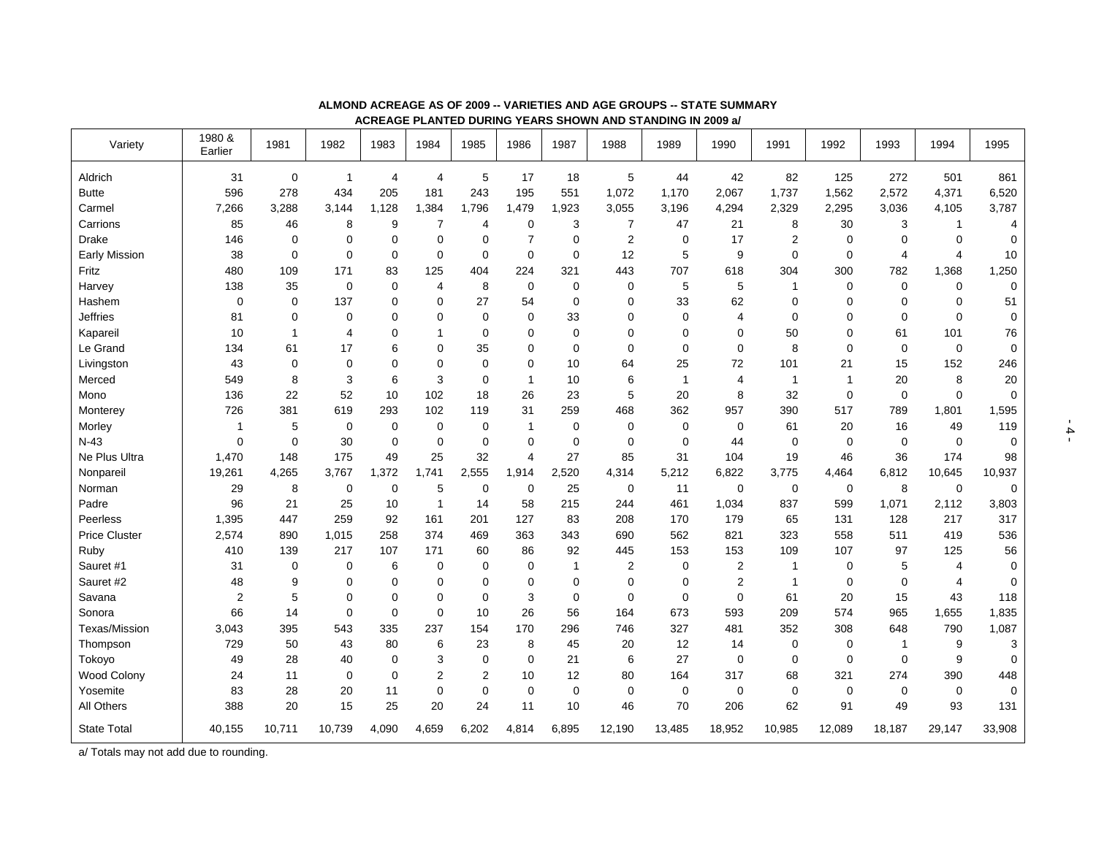| Variety              | 1980 &<br>Earlier | 1981        | 1982           | 1983           | 1984           | 1985        | 1986         | 1987         | 1988           | 1989           | 1990           | 1991           | 1992        | 1993           | 1994           | 1995        |
|----------------------|-------------------|-------------|----------------|----------------|----------------|-------------|--------------|--------------|----------------|----------------|----------------|----------------|-------------|----------------|----------------|-------------|
| Aldrich              | 31                | 0           | $\mathbf{1}$   | $\overline{4}$ | 4              | 5           | 17           | 18           | $\,$ 5 $\,$    | 44             | 42             | 82             | 125         | 272            | 501            | 861         |
| <b>Butte</b>         | 596               | 278         | 434            | 205            | 181            | 243         | 195          | 551          | 1,072          | 1,170          | 2,067          | 1,737          | 1,562       | 2,572          | 4,371          | 6,520       |
| Carmel               | 7,266             | 3,288       | 3,144          | 1,128          | 1,384          | 1,796       | 1,479        | ,923<br>1    | 3,055          | 3,196          | 4,294          | 2,329          | 2,295       | 3,036          | 4,105          | 3,787       |
| Carrions             | 85                | 46          | 8              | 9              | $\overline{7}$ | 4           | 0            | 3            | $\overline{7}$ | 47             | 21             | 8              | 30          | 3              | $\mathbf{1}$   | 4           |
| <b>Drake</b>         | 146               | $\Omega$    | $\mathbf 0$    | 0              | $\mathbf 0$    | $\mathbf 0$ |              | 0            | $\overline{2}$ | 0              | 17             | $\overline{2}$ | $\Omega$    | $\Omega$       | $\mathbf 0$    | 0           |
| <b>Early Mission</b> | 38                | $\mathbf 0$ | $\Omega$       | $\mathbf 0$    | $\mathbf 0$    | $\mathbf 0$ | $\Omega$     | $\Omega$     | 12             | 5              | 9              | $\mathbf 0$    | $\Omega$    | $\overline{4}$ | 4              | 10          |
| Fritz                | 480               | 109         | 171            | 83             | 125            | 404         | 224          | 321          | 443            | 707            | 618            | 304            | 300         | 782            | 1,368          | 1,250       |
| Harvey               | 138               | 35          | $\mathbf 0$    | 0              | 4              | 8           | $\mathbf 0$  | $\mathbf 0$  | $\mathbf 0$    | 5              | 5              | 1              | 0           | 0              | $\mathbf 0$    | $\mathbf 0$ |
| Hashem               | $\mathbf 0$       | $\mathbf 0$ | 137            | $\mathbf 0$    | $\mathbf 0$    | 27          | 54           | $\mathbf 0$  | $\mathbf 0$    | 33             | 62             | $\mathbf 0$    | $\Omega$    | $\mathbf 0$    | $\mathbf 0$    | 51          |
| Jeffries             | 81                | $\mathbf 0$ | $\mathbf 0$    | $\Omega$       | $\mathbf 0$    | $\mathbf 0$ | $\mathbf 0$  | 33           | $\mathbf 0$    | 0              | 4              | $\mathbf 0$    | $\Omega$    | $\mathbf 0$    | $\mathbf 0$    | $\mathbf 0$ |
| Kapareil             | 10                | 1           | $\overline{4}$ | $\mathbf 0$    | 1              | $\mathbf 0$ | $\mathbf 0$  | 0            | $\mathbf 0$    | 0              | 0              | 50             | $\Omega$    | 61             | 101            | 76          |
| Le Grand             | 134               | 61          | 17             | 6              | $\mathbf 0$    | 35          | $\mathbf 0$  | $\mathbf 0$  | $\mathbf 0$    | $\mathbf 0$    | 0              | 8              | $\Omega$    | $\mathbf 0$    | $\mathbf 0$    | $\mathbf 0$ |
| Livingston           | 43                | $\mathbf 0$ | $\mathbf 0$    | $\Omega$       | $\mathbf 0$    | $\mathbf 0$ | 0            | 10           | 64             | 25             | 72             | 101            | 21          | 15             | 152            | 246         |
| Merced               | 549               | 8           | 3              | 6              | 3              | $\mathbf 0$ | 1            | 10           | 6              | $\overline{1}$ | 4              | 1              | $\mathbf 1$ | 20             | 8              | 20          |
| Mono                 | 136               | 22          | 52             | 10             | 102            | 18          | 26           | 23           | 5              | 20             | 8              | 32             | $\mathbf 0$ | $\mathbf 0$    | $\mathbf 0$    | $\mathbf 0$ |
| Monterey             | 726               | 381         | 619            | 293            | 102            | 119         | 31           | 259          | 468            | 362            | 957            | 390            | 517         | 789            | 1,801          | 1,595       |
| Morley               | 1                 | 5           | $\mathbf 0$    | $\mathbf 0$    | $\mathbf 0$    | $\mathbf 0$ | $\mathbf{1}$ | $\mathbf 0$  | $\mathbf 0$    | 0              | 0              | 61             | 20          | 16             | 49             | 119         |
| $N-43$               | $\mathbf 0$       | $\mathbf 0$ | 30             | $\mathbf 0$    | $\mathbf 0$    | $\mathbf 0$ | $\mathbf 0$  | $\mathbf 0$  | $\mathbf 0$    | 0              | 44             | $\mathbf 0$    | $\mathbf 0$ | $\mathbf 0$    | $\mathbf 0$    | $\mathbf 0$ |
| Ne Plus Ultra        | 1,470             | 148         | 175            | 49             | 25             | 32          | 4            | 27           | 85             | 31             | 104            | 19             | 46          | 36             | 174            | 98          |
| Nonpareil            | 19,261            | 4,265       | 3,767          | 1,372          | 1,741          | 2,555       | 1,914        | 2,520        | 4,314          | 5,212          | 6,822          | 3,775          | 4,464       | 6,812          | 10,645         | 10,937      |
| Norman               | 29                | 8           | $\mathbf 0$    | $\mathbf 0$    | 5              | $\mathbf 0$ | $\mathbf 0$  | 25           | $\mathbf 0$    | 11             | $\mathbf 0$    | $\mathbf 0$    | $\mathbf 0$ | 8              | $\mathbf 0$    | $\mathbf 0$ |
| Padre                | 96                | 21          | 25             | 10             | $\overline{1}$ | 14          | 58           | 215          | 244            | 461            | 1,034          | 837            | 599         | 1,071          | 2,112          | 3,803       |
| Peerless             | 1,395             | 447         | 259            | 92             | 161            | 201         | 127          | 83           | 208            | 170            | 179            | 65             | 131         | 128            | 217            | 317         |
| <b>Price Cluster</b> | 2,574             | 890         | 1,015          | 258            | 374            | 469         | 363          | 343          | 690            | 562            | 821            | 323            | 558         | 511            | 419            | 536         |
| Ruby                 | 410               | 139         | 217            | 107            | 171            | 60          | 86           | 92           | 445            | 153            | 153            | 109            | 107         | 97             | 125            | 56          |
| Sauret #1            | 31                | $\mathbf 0$ | 0              | 6              | $\mathbf 0$    | 0           | 0            | $\mathbf{1}$ | $\overline{2}$ | 0              | 2              | 1              | 0           | 5              | 4              | $\mathbf 0$ |
| Sauret #2            | 48                | 9           | $\mathbf 0$    | $\mathbf 0$    | $\mathbf 0$    | $\mathbf 0$ | $\mathbf 0$  | 0            | $\mathbf 0$    | $\mathbf 0$    | $\overline{2}$ | 1              | $\mathbf 0$ | $\mathbf 0$    | $\overline{4}$ | $\mathbf 0$ |
| Savana               | $\overline{2}$    | 5           | $\mathbf 0$    | $\mathbf 0$    | 0              | $\mathbf 0$ | 3            | $\mathbf 0$  | $\mathbf 0$    | $\mathbf 0$    | $\mathbf 0$    | 61             | 20          | 15             | 43             | 118         |
| Sonora               | 66                | 14          | $\overline{0}$ | $\mathbf 0$    | 0              | 10          | 26           | 56           | 164            | 673            | 593            | 209            | 574         | 965            | 1,655          | 1,835       |
| Texas/Mission        | 3,043             | 395         | 543            | 335            | 237            | 154         | 170          | 296          | 746            | 327            | 481            | 352            | 308         | 648            | 790            | 1,087       |
| Thompson             | 729               | 50          | 43             | 80             | 6              | 23          | 8            | 45           | 20             | 12             | 14             | 0              | $\mathbf 0$ | $\mathbf{1}$   | 9              | 3           |
| Tokoyo               | 49                | 28          | 40             | $\mathbf 0$    | 3              | 0           | $\mathbf 0$  | 21           | 6              | 27             | 0              | $\mathbf 0$    | $\Omega$    | 0              | 9              | $\mathbf 0$ |
| Wood Colony          | 24                | 11          | $\mathbf 0$    | $\mathbf 0$    | 2              | 2           | 10           | 12           | 80             | 164            | 317            | 68             | 321         | 274            | 390            | 448         |
| Yosemite             | 83                | 28          | 20             | 11             | $\mathbf 0$    | 0           | 0            | $\Omega$     | $\mathbf 0$    | 0              | 0              | $\mathbf 0$    | $\mathbf 0$ | $\Omega$       | $\Omega$       | $\mathbf 0$ |
| All Others           | 388               | 20          | 15             | 25             | 20             | 24          | 11           | 10           | 46             | 70             | 206            | 62             | 91          | 49             | 93             | 131         |
| <b>State Total</b>   | 40,155            | 10,711      | 10,739         | 4,090          | 4,659          | 6,202       | 4,814        | 6,895        | 12,190         | 13,485         | 18,952         | 10,985         | 12,089      | 18,187         | 29,147         | 33,908      |

#### **ALMOND ACREAGE AS OF 2009 -- VARIETIES AND AGE GROUPS -- STATE SUMMARY**

**ACREAGE PLANTED DURING YEARS SHOWN AND STANDING IN 2009 a/** 

a/ Totals may not add due to rounding.

‐ 4 -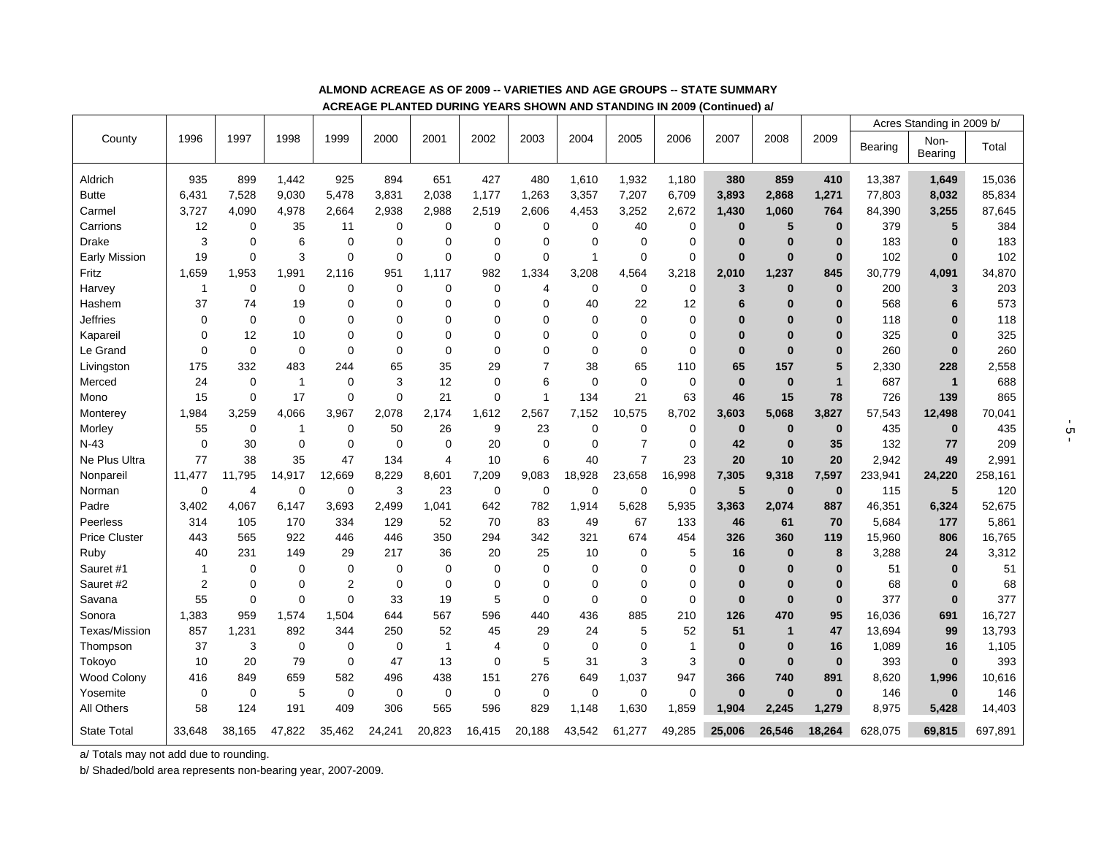|                      |                |             |              |                |             |                |              |                |              |                |              |                 |              |              | Acres Standing in 2009 b/ |              |         |  |
|----------------------|----------------|-------------|--------------|----------------|-------------|----------------|--------------|----------------|--------------|----------------|--------------|-----------------|--------------|--------------|---------------------------|--------------|---------|--|
| County               | 1996           | 1997        | 1998         | 1999           | 2000        | 2001           | 2002         | 2003           | 2004         | 2005           | 2006         | 2007            | 2008         | 2009         | Bearing                   | Non-         | Total   |  |
|                      |                |             |              |                |             |                |              |                |              |                |              |                 |              |              |                           | Bearing      |         |  |
| Aldrich              | 935            | 899         | 1,442        | 925            | 894         | 651            | 427          | 480            | 1,610        | 1,932          | 1,180        | 380             | 859          | 410          | 13,387                    | 1,649        | 15,036  |  |
| <b>Butte</b>         | 6,431          | 7,528       | 9,030        | 5,478          | 3,831       | 2,038          | 1,177        | 1,263          | 3,357        | 7,207          | 6,709        | 3,893           | 2,868        | 1,271        | 77,803                    | 8,032        | 85,834  |  |
| Carmel               | 3,727          | 4,090       | 4,978        | 2,664          | 2,938       | 2,988          | 2,519        | 2,606          | 4,453        | 3,252          | 2,672        | 1,430           | 1,060        | 764          | 84,390                    | 3,255        | 87,645  |  |
| Carrions             | 12             | 0           | 35           | 11             | $\mathbf 0$ | $\mathbf 0$    | 0            | $\mathbf 0$    | $\mathbf 0$  | 40             | $\mathbf 0$  | $\bf{0}$        | 5            | $\bf{0}$     | 379                       | 5            | 384     |  |
| <b>Drake</b>         | 3              | $\Omega$    | 6            | $\mathbf 0$    | $\Omega$    | 0              | 0            | $\Omega$       | 0            | 0              | $\mathbf 0$  | $\bf{0}$        | $\bf{0}$     | $\bf{0}$     | 183                       | $\bf{0}$     | 183     |  |
| <b>Early Mission</b> | 19             | 0           | 3            | 0              | $\mathbf 0$ | $\mathbf 0$    | $\mathbf 0$  | $\mathbf 0$    | $\mathbf{1}$ | $\mathbf 0$    | $\mathbf 0$  | $\bf{0}$        | $\bf{0}$     | $\bf{0}$     | 102                       | $\bf{0}$     | 102     |  |
| Fritz                | 1,659          | 1,953       | 1,991        | 2,116          | 951         | 1.117          | 982          | 1,334          | 3,208        | 4,564          | 3,218        | 2,010           | 1,237        | 845          | 30,779                    | 4,091        | 34,870  |  |
| Harvey               | $\mathbf{1}$   | $\mathbf 0$ | $\mathbf 0$  | $\mathbf 0$    | $\mathbf 0$ | $\mathbf 0$    | 0            | $\overline{4}$ | $\mathbf 0$  | $\mathbf 0$    | $\mathbf 0$  | 3               | $\bf{0}$     | $\bf{0}$     | 200                       | 3            | 203     |  |
| Hashem               | 37             | 74          | 19           | $\Omega$       | $\Omega$    | $\Omega$       | $\Omega$     | $\Omega$       | 40           | 22             | 12           | 6               | $\bf{0}$     | $\bf{0}$     | 568                       | 6            | 573     |  |
| Jeffries             | 0              | 0           | $\mathbf 0$  | 0              | $\Omega$    | $\Omega$       | 0            | $\Omega$       | $\mathbf 0$  | 0              | 0            | 0               | $\bf{0}$     | $\bf{0}$     | 118                       | $\Omega$     | 118     |  |
| Kapareil             | $\Omega$       | 12          | 10           | $\Omega$       | $\Omega$    | $\Omega$       | $\Omega$     | $\Omega$       | $\Omega$     | $\Omega$       | $\Omega$     | $\bf{0}$        | $\bf{0}$     | $\bf{0}$     | 325                       | $\bf{0}$     | 325     |  |
| Le Grand             | 0              | $\mathbf 0$ | $\mathbf 0$  | $\mathbf 0$    | $\Omega$    | 0              | $\Omega$     | $\Omega$       | 0            | 0              | $\mathbf 0$  | $\bf{0}$        | $\bf{0}$     | $\bf{0}$     | 260                       | $\bf{0}$     | 260     |  |
| Livingston           | 175            | 332         | 483          | 244            | 65          | 35             | 29           | $\overline{7}$ | 38           | 65             | 110          | 65              | 157          | 5            | 2,330                     | 228          | 2,558   |  |
| Merced               | 24             | $\mathbf 0$ | $\mathbf{1}$ | $\mathbf 0$    | 3           | 12             | 0            | 6              | $\mathbf 0$  | 0              | $\mathbf 0$  | $\bf{0}$        | $\bf{0}$     | $\mathbf{1}$ | 687                       | $\mathbf{1}$ | 688     |  |
| Mono                 | 15             | $\mathbf 0$ | 17           | $\mathbf 0$    | $\mathbf 0$ | 21             | 0            | $\overline{1}$ | 134          | 21             | 63           | 46              | 15           | 78           | 726                       | 139          | 865     |  |
| Monterey             | 1,984          | 3,259       | 4,066        | 3,967          | 2,078       | 2,174          | 1,612        | 2,567          | 7,152        | 10,575         | 8,702        | 3,603           | 5,068        | 3,827        | 57,543                    | 12,498       | 70,041  |  |
| Morley               | 55             | $\mathbf 0$ | 1            | $\mathbf 0$    | 50          | 26             | 9            | 23             | $\mathbf 0$  | 0              | $\mathbf 0$  | $\bf{0}$        | $\bf{0}$     | $\bf{0}$     | 435                       | $\bf{0}$     | 435     |  |
| $N-43$               | 0              | 30          | 0            | 0              | $\mathbf 0$ | $\mathbf 0$    | 20           | $\mathbf 0$    | 0            | $\overline{7}$ | $\mathbf 0$  | 42              | $\bf{0}$     | 35           | 132                       | 77           | 209     |  |
| Ne Plus Ultra        | 77             | 38          | 35           | 47             | 134         | $\overline{4}$ | 10           | 6              | 40           | $\overline{7}$ | 23           | 20              | 10           | 20           | 2,942                     | 49           | 2,991   |  |
| Nonpareil            | 11,477         | 11,795      | 14,917       | 12,669         | 8,229       | 8,601          | 7,209        | 9,083          | 18,928       | 23,658         | 16,998       | 7,305           | 9,318        | 7,597        | 233,941                   | 24,220       | 258,161 |  |
| Norman               | 0              | 4           | $\mathbf 0$  | $\mathbf 0$    | 3           | 23             | 0            | $\mathbf 0$    | $\mathbf 0$  | $\mathbf 0$    | $\mathbf 0$  | $5\phantom{.0}$ | $\bf{0}$     | $\bf{0}$     | 115                       | 5            | 120     |  |
| Padre                | 3.402          | 4.067       | 6.147        | 3.693          | 2.499       | 1.041          | 642          | 782            | 1,914        | 5,628          | 5,935        | 3,363           | 2,074        | 887          | 46,351                    | 6,324        | 52,675  |  |
| Peerless             | 314            | 105         | 170          | 334            | 129         | 52             | 70           | 83             | 49           | 67             | 133          | 46              | 61           | 70           | 5,684                     | 177          | 5,861   |  |
| <b>Price Cluster</b> | 443            | 565         | 922          | 446            | 446         | 350            | 294          | 342            | 321          | 674            | 454          | 326             | 360          | 119          | 15,960                    | 806          | 16,765  |  |
| Ruby                 | 40             | 231         | 149          | 29             | 217         | 36             | 20           | 25             | 10           | 0              | 5            | 16              | $\bf{0}$     | 8            | 3,288                     | 24           | 3,312   |  |
| Sauret #1            | 1              | $\Omega$    | $\Omega$     | 0              | $\Omega$    | 0              | $\mathbf{0}$ | $\Omega$       | $\mathbf 0$  | 0              | $\mathbf 0$  | $\bf{0}$        | $\bf{0}$     | $\bf{0}$     | 51                        | $\bf{0}$     | 51      |  |
| Sauret #2            | $\overline{2}$ | $\mathbf 0$ | 0            | $\overline{2}$ | $\mathbf 0$ | 0              | 0            | $\Omega$       | 0            | 0              | 0            | $\bf{0}$        | $\bf{0}$     | $\bf{0}$     | 68                        | $\bf{0}$     | 68      |  |
| Savana               | 55             | $\mathbf 0$ | $\mathbf 0$  | 0              | 33          | 19             | 5            | $\mathbf 0$    | $\mathbf 0$  | 0              | 0            | $\bf{0}$        | $\bf{0}$     | $\bf{0}$     | 377                       | $\mathbf{0}$ | 377     |  |
| Sonora               | 1,383          | 959         | 1,574        | 1,504          | 644         | 567            | 596          | 440            | 436          | 885            | 210          | 126             | 470          | 95           | 16,036                    | 691          | 16,727  |  |
| Texas/Mission        | 857            | 1,231       | 892          | 344            | 250         | 52             | 45           | 29             | 24           | 5              | 52           | 51              | $\mathbf{1}$ | 47           | 13,694                    | 99           | 13,793  |  |
| Thompson             | 37             | 3           | $\mathbf 0$  | $\mathbf 0$    | $\mathbf 0$ | $\mathbf{1}$   | 4            | $\mathbf 0$    | $\mathbf 0$  | 0              | $\mathbf{1}$ | $\bf{0}$        | $\bf{0}$     | 16           | 1,089                     | 16           | 1,105   |  |
| Tokoyo               | 10             | 20          | 79           | 0              | 47          | 13             | 0            | 5              | 31           | 3              | 3            | $\bf{0}$        | $\bf{0}$     | $\bf{0}$     | 393                       | $\mathbf{0}$ | 393     |  |
| <b>Wood Colony</b>   | 416            | 849         | 659          | 582            | 496         | 438            | 151          | 276            | 649          | 1,037          | 947          | 366             | 740          | 891          | 8,620                     | 1,996        | 10,616  |  |
| Yosemite             | 0              | $\mathbf 0$ | 5            | 0              | 0           | 0              | 0            | $\mathbf 0$    | $\mathbf 0$  | 0              | 0            | $\bf{0}$        | $\bf{0}$     | $\bf{0}$     | 146                       | $\bf{0}$     | 146     |  |
| <b>All Others</b>    | 58             | 124         | 191          | 409            | 306         | 565            | 596          | 829            | 1,148        | 1,630          | 1,859        | 1.904           | 2.245        | 1.279        | 8,975                     | 5,428        | 14,403  |  |
| <b>State Total</b>   | 33,648         | 38,165      | 47,822       | 35,462         | 24,241      | 20,823         | 16,415       | 20,188         | 43,542       | 61,277         | 49,285       | 25,006          | 26,546       | 18,264       | 628,075                   | 69,815       | 697,891 |  |

#### **ALMOND ACREAGE AS OF 2009 -- VARIETIES AND AGE GROUPS -- STATE SUMMARY**

**ACREAGE PLANTED DURING YEARS SHOWN AND STANDING IN 2009 (Continued) a/** 

a/ Totals may not add due to rounding.

b/ Shaded/bold area represents non-bearing year, 2007-2009.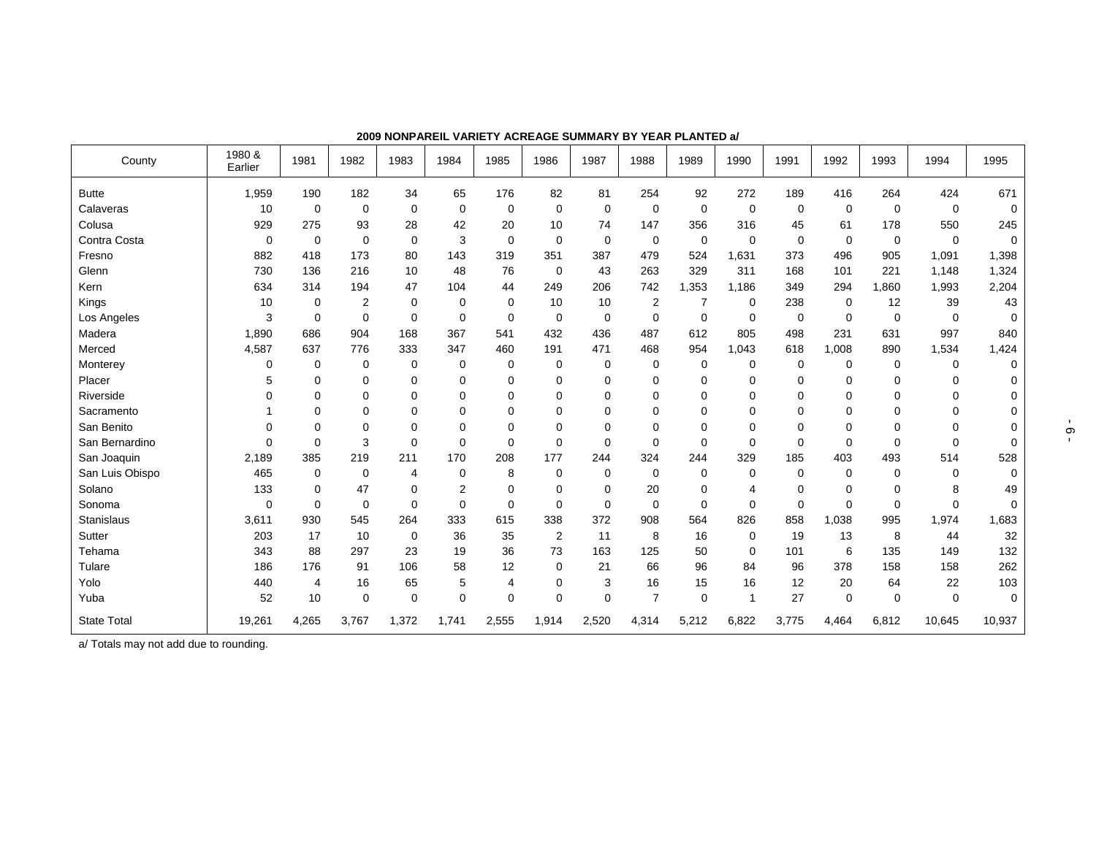| County             | 1980 &<br>Earlier | 1981           | 1982  | 1983        | 1984           | 1985        | 1986           | 1987        | 1988           | 1989        | 1990         | 1991        | 1992        | 1993        | 1994        | 1995        |
|--------------------|-------------------|----------------|-------|-------------|----------------|-------------|----------------|-------------|----------------|-------------|--------------|-------------|-------------|-------------|-------------|-------------|
| <b>Butte</b>       | 1,959             | 190            | 182   | 34          | 65             | 176         | 82             | 81          | 254            | 92          | 272          | 189         | 416         | 264         | 424         | 671         |
| Calaveras          | 10                | 0              | 0     | 0           | 0              | 0           | 0              | 0           | 0              | 0           | 0            | 0           | 0           | 0           | $\mathbf 0$ | $\mathbf 0$ |
| Colusa             | 929               | 275            | 93    | 28          | 42             | 20          | 10             | 74          | 147            | 356         | 316          | 45          | 61          | 178         | 550         | 245         |
| Contra Costa       | 0                 | 0              | 0     | 0           | 3              | 0           | $\mathbf 0$    | 0           | 0              | $\mathbf 0$ | $\mathbf 0$  | 0           | $\mathbf 0$ | 0           | 0           | $\mathbf 0$ |
| Fresno             | 882               | 418            | 173   | 80          | 143            | 319         | 351            | 387         | 479            | 524         | 1,631        | 373         | 496         | 905         | 1,091       | 1,398       |
| Glenn              | 730               | 136            | 216   | 10          | 48             | 76          | $\mathbf 0$    | 43          | 263            | 329         | 311          | 168         | 101         | 221         | 1,148       | 1,324       |
| Kern               | 634               | 314            | 194   | 47          | 104            | 44          | 249            | 206         | 742            | 1,353       | 1,186        | 349         | 294         | 1,860       | 1,993       | 2,204       |
| Kings              | 10                | $\mathbf 0$    | 2     | $\mathbf 0$ | 0              | 0           | 10             | 10          | 2              | 7           | 0            | 238         | 0           | 12          | 39          | 43          |
| Los Angeles        | 3                 | 0              | 0     | 0           | 0              | 0           | $\mathbf 0$    | 0           | $\mathbf 0$    | 0           | 0            | $\mathbf 0$ | $\mathbf 0$ | 0           | 0           | $\Omega$    |
| Madera             | 1,890             | 686            | 904   | 168         | 367            | 541         | 432            | 436         | 487            | 612         | 805          | 498         | 231         | 631         | 997         | 840         |
| Merced             | 4,587             | 637            | 776   | 333         | 347            | 460         | 191            | 471         | 468            | 954         | 1,043        | 618         | 1,008       | 890         | 1,534       | 1,424       |
| Monterey           | 0                 | 0              | 0     | $\mathbf 0$ | 0              | 0           | 0              | 0           | 0              | 0           | 0            | $\mathbf 0$ | $\mathbf 0$ | 0           | 0           | $\mathbf 0$ |
| Placer             | 5                 | $\mathbf 0$    | 0     | 0           | 0              | 0           | $\mathbf 0$    | 0           | 0              | 0           | 0            | $\Omega$    | 0           | $\Omega$    | 0           | 0           |
| Riverside          |                   | $\Omega$       | 0     | $\mathbf 0$ | 0              | 0           | $\mathbf 0$    | 0           | 0              | 0           | 0            | $\Omega$    | $\Omega$    | $\Omega$    | $\Omega$    | 0           |
| Sacramento         |                   | $\mathbf 0$    | 0     | 0           | 0              | 0           | $\mathbf 0$    | 0           | $\mathbf 0$    | 0           | 0            | $\Omega$    | 0           | 0           | 0           | 0           |
| San Benito         |                   | $\mathbf 0$    | 0     | 0           | 0              | 0           | $\mathbf 0$    | 0           | $\Omega$       | 0           | $\Omega$     | $\Omega$    | $\Omega$    | 0           | $\Omega$    |             |
| San Bernardino     | $\Omega$          | $\mathbf 0$    | 3     | $\mathbf 0$ | 0              | $\mathbf 0$ | $\mathbf 0$    | $\mathbf 0$ | $\mathbf 0$    | 0           | $\mathbf 0$  | $\mathbf 0$ | $\mathbf 0$ | $\mathbf 0$ | $\mathbf 0$ | 0           |
| San Joaquin        | 2,189             | 385            | 219   | 211         | 170            | 208         | 177            | 244         | 324            | 244         | 329          | 185         | 403         | 493         | 514         | 528         |
| San Luis Obispo    | 465               | 0              | 0     | 4           | 0              | 8           | $\mathbf 0$    | 0           | 0              | 0           | $\mathbf 0$  | $\Omega$    | $\Omega$    | 0           | $\Omega$    | $\mathbf 0$ |
| Solano             | 133               | $\mathbf 0$    | 47    | 0           | $\overline{2}$ | 0           | $\mathbf 0$    | 0           | 20             | 0           | 4            | $\mathbf 0$ | $\Omega$    | 0           | 8           | 49          |
| Sonoma             | $\Omega$          | $\mathbf 0$    | 0     | 0           | 0              | 0           | $\mathbf 0$    | $\mathbf 0$ | $\mathbf 0$    | $\Omega$    | $\mathbf 0$  | $\Omega$    | $\Omega$    | 0           | $\Omega$    | $\Omega$    |
| <b>Stanislaus</b>  | 3,611             | 930            | 545   | 264         | 333            | 615         | 338            | 372         | 908            | 564         | 826          | 858         | 1,038       | 995         | 1,974       | 1,683       |
| Sutter             | 203               | 17             | 10    | 0           | 36             | 35          | $\overline{2}$ | 11          | 8              | 16          | 0            | 19          | 13          | 8           | 44          | 32          |
| Tehama             | 343               | 88             | 297   | 23          | 19             | 36          | 73             | 163         | 125            | 50          | 0            | 101         | 6           | 135         | 149         | 132         |
| Tulare             | 186               | 176            | 91    | 106         | 58             | 12          | 0              | 21          | 66             | 96          | 84           | 96          | 378         | 158         | 158         | 262         |
| Yolo               | 440               | $\overline{4}$ | 16    | 65          | 5              | 4           | 0              | 3           | 16             | 15          | 16           | 12          | 20          | 64          | 22          | 103         |
| Yuba               | 52                | 10             | 0     | $\mathbf 0$ | 0              | $\mathbf 0$ | $\mathbf 0$    | $\Omega$    | $\overline{7}$ | $\mathbf 0$ | $\mathbf{1}$ | 27          | $\mathbf 0$ | $\mathbf 0$ | $\Omega$    | $\Omega$    |
| <b>State Total</b> | 19,261            | 4,265          | 3,767 | 1,372       | 1,741          | 2,555       | 1,914          | 2,520       | 4,314          | 5,212       | 6,822        | 3,775       | 4,464       | 6,812       | 10,645      | 10,937      |

**2009 NONPAREIL VARIETY ACREAGE SUMMARY BY YEAR PLANTED a/** 

a/ Totals may not add due to rounding.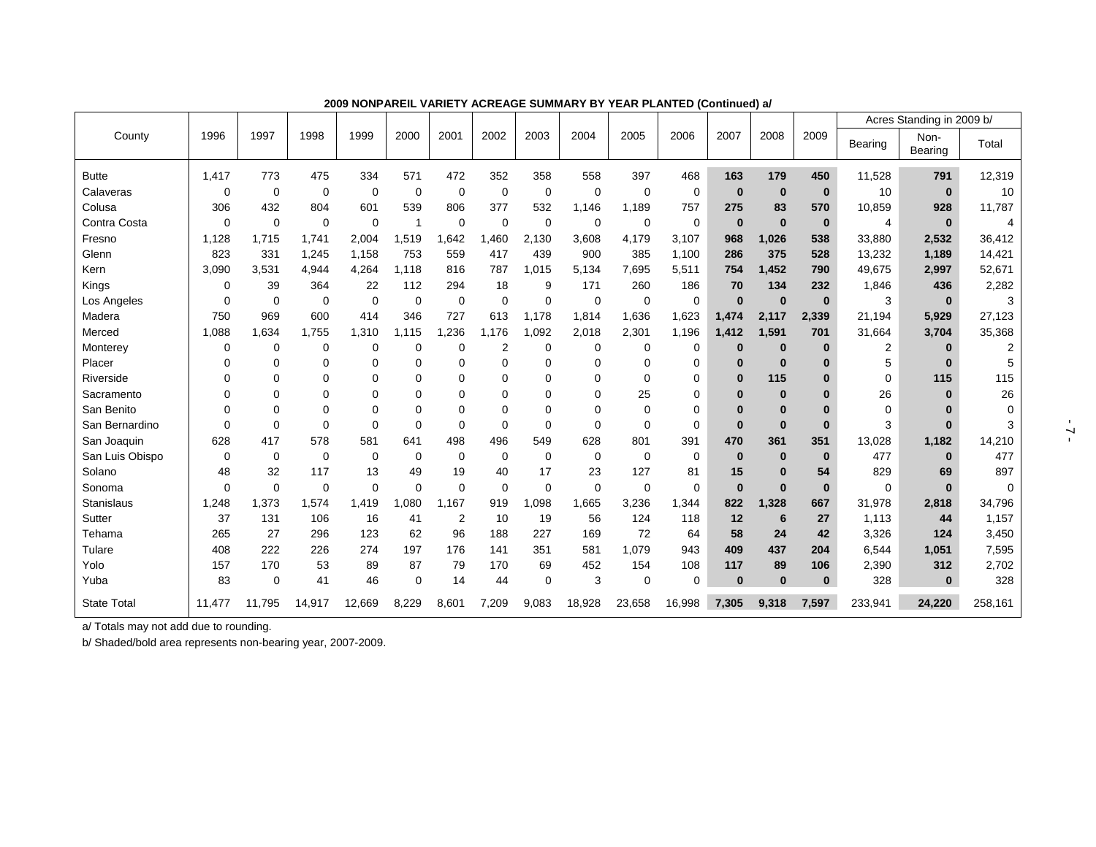|                    |             |             |             |             |          |             |                |          |             |             |          |          |             |          |                | Acres Standing in 2009 b/ |          |
|--------------------|-------------|-------------|-------------|-------------|----------|-------------|----------------|----------|-------------|-------------|----------|----------|-------------|----------|----------------|---------------------------|----------|
| County             | 1996        | 1997        | 1998        | 1999        | 2000     | 2001        | 2002           | 2003     | 2004        | 2005        | 2006     | 2007     | 2008        | 2009     | Bearing        | Non-<br>Bearing           | Total    |
| <b>Butte</b>       | 1,417       | 773         | 475         | 334         | 571      | 472         | 352            | 358      | 558         | 397         | 468      | 163      | 179         | 450      | 11,528         | 791                       | 12,319   |
| Calaveras          | 0           | $\Omega$    | 0           | $\Omega$    | 0        | 0           | $\Omega$       | 0        | $\Omega$    | $\Omega$    | 0        | $\bf{0}$ | $\mathbf 0$ | $\bf{0}$ | 10             | $\bf{0}$                  | 10       |
| Colusa             | 306         | 432         | 804         | 601         | 539      | 806         | 377            | 532      | 1,146       | 1,189       | 757      | 275      | 83          | 570      | 10,859         | 928                       | 11,787   |
| Contra Costa       | $\Omega$    | $\Omega$    | $\mathbf 0$ | $\Omega$    | 1        | $\Omega$    | $\Omega$       | $\Omega$ | $\mathbf 0$ | $\mathbf 0$ | 0        | $\bf{0}$ | $\bf{0}$    | $\bf{0}$ | 4              | $\bf{0}$                  |          |
| Fresno             | 1,128       | 1.715       | 1,741       | 2,004       | .519     | .642        | .460           | 2.130    | 3,608       | 4,179       | 3,107    | 968      | 1,026       | 538      | 33,880         | 2,532                     | 36,412   |
| Glenn              | 823         | 331         | 1,245       | 1,158       | 753      | 559         | 417            | 439      | 900         | 385         | 1,100    | 286      | 375         | 528      | 13,232         | 1,189                     | 14,421   |
| Kern               | 3.090       | 3.531       | 4,944       | 4.264       | 1.118    | 816         | 787            | 1,015    | 5.134       | 7,695       | 5,511    | 754      | 1.452       | 790      | 49,675         | 2,997                     | 52,671   |
| Kings              | $\mathbf 0$ | 39          | 364         | 22          | 112      | 294         | 18             | 9        | 171         | 260         | 186      | 70       | 134         | 232      | 1,846          | 436                       | 2,282    |
| Los Angeles        | 0           | $\mathbf 0$ | 0           | $\mathbf 0$ | 0        | $\mathbf 0$ | $\Omega$       | 0        | $\mathbf 0$ | $\mathbf 0$ | 0        | $\bf{0}$ | $\bf{0}$    | $\bf{0}$ | 3              | $\bf{0}$                  | 3        |
| Madera             | 750         | 969         | 600         | 414         | 346      | 727         | 613            | 1.178    | 1,814       | 1,636       | 1,623    | 1,474    | 2.117       | 2,339    | 21.194         | 5,929                     | 27,123   |
| Merced             | 1,088       | 1.634       | 1.755       | 1,310       | .115     | .236        | 1.176          | .092     | 2,018       | 2,301       | 1,196    | 1,412    | 1.591       | 701      | 31.664         | 3,704                     | 35,368   |
| Monterey           | 0           | $\Omega$    | 0           | $\Omega$    | 0        | $\mathbf 0$ | $\overline{2}$ | 0        | $\mathbf 0$ | $\mathbf 0$ | 0        | $\bf{0}$ | $\bf{0}$    | $\bf{0}$ | $\overline{2}$ |                           |          |
| Placer             | $\Omega$    | $\Omega$    | 0           | $\Omega$    | 0        | 0           |                | $\Omega$ | $\Omega$    | $\Omega$    | 0        | $\bf{0}$ | $\bf{0}$    | $\Omega$ | 5              | $\bf{0}$                  |          |
| Riverside          | $\Omega$    | $\Omega$    | 0           | $\Omega$    | 0        | 0           | 0              | $\Omega$ | $\Omega$    | $\Omega$    | 0        | $\bf{0}$ | 115         | $\bf{0}$ | 0              | 115                       | 115      |
| Sacramento         | $\Omega$    | $\Omega$    | 0           | $\Omega$    | 0        | 0           | $\Omega$       | $\Omega$ | $\Omega$    | 25          | 0        | $\bf{0}$ | $\bf{0}$    | O        | 26             | $\bf{0}$                  | 26       |
| San Benito         | $\Omega$    | $\Omega$    | 0           | $\Omega$    | $\Omega$ | 0           | $\Omega$       | $\Omega$ | $\Omega$    | $\mathbf 0$ | 0        | $\bf{0}$ | $\bf{0}$    | $\Omega$ | 0              |                           | $\Omega$ |
| San Bernardino     | $\Omega$    | $\Omega$    | $\Omega$    | $\Omega$    | $\Omega$ | $\mathbf 0$ | $\Omega$       | $\Omega$ | $\Omega$    | $\Omega$    | 0        | $\bf{0}$ | $\bf{0}$    | $\bf{0}$ | 3              |                           |          |
| San Joaquin        | 628         | 417         | 578         | 581         | 641      | 498         | 496            | 549      | 628         | 801         | 391      | 470      | 361         | 351      | 13,028         | 1,182                     | 14,210   |
| San Luis Obispo    | 0           | 0           | $\Omega$    | 0           | 0        | 0           | $\Omega$       | $\Omega$ | 0           | $\mathbf 0$ | 0        | $\bf{0}$ | $\bf{0}$    | $\bf{0}$ | 477            | $\bf{0}$                  | 477      |
| Solano             | 48          | 32          | 117         | 13          | 49       | 19          | 40             | 17       | 23          | 127         | 81       | 15       | $\bf{0}$    | 54       | 829            | 69                        | 897      |
| Sonoma             | $\Omega$    | $\Omega$    | 0           | $\Omega$    | $\Omega$ | $\mathbf 0$ | $\Omega$       | $\Omega$ | $\mathbf 0$ | $\Omega$    | 0        | $\bf{0}$ | $\bf{0}$    | $\bf{0}$ | 0              | $\bf{0}$                  |          |
| Stanislaus         | 1,248       | 1,373       | 1,574       | 1,419       | ,080     | 1,167       | 919            | 800,     | 1,665       | 3,236       | 1,344    | 822      | 1,328       | 667      | 31,978         | 2,818                     | 34,796   |
| Sutter             | 37          | 131         | 106         | 16          | 41       | 2           | 10             | 19       | 56          | 124         | 118      | 12       | 6           | 27       | 1,113          | 44                        | 1,157    |
| Tehama             | 265         | 27          | 296         | 123         | 62       | 96          | 188            | 227      | 169         | 72          | 64       | 58       | 24          | 42       | 3,326          | 124                       | 3,450    |
| Tulare             | 408         | 222         | 226         | 274         | 197      | 176         | 141            | 351      | 581         | 1,079       | 943      | 409      | 437         | 204      | 6,544          | 1,051                     | 7,595    |
| Yolo               | 157         | 170         | 53          | 89          | 87       | 79          | 170            | 69       | 452         | 154         | 108      | 117      | 89          | 106      | 2,390          | 312                       | 2,702    |
| Yuba               | 83          | $\Omega$    | 41          | 46          | $\Omega$ | 14          | 44             | $\Omega$ | 3           | $\mathbf 0$ | $\Omega$ | $\bf{0}$ | $\bf{0}$    | $\bf{0}$ | 328            | $\bf{0}$                  | 328      |
| <b>State Total</b> | 11,477      | 11.795      | 14,917      | 12,669      | 8,229    | 8,601       | 7,209          | 9,083    | 18,928      | 23,658      | 16,998   | 7,305    | 9,318       | 7,597    | 233,941        | 24,220                    | 258,161  |

**2009 NONPAREIL VARIETY ACREAGE SUMMARY BY YEAR PLANTED (Continued) a/** 

a/ Totals may not add due to rounding.

b/ Shaded/bold area represents non-bearing year, 2007-2009.